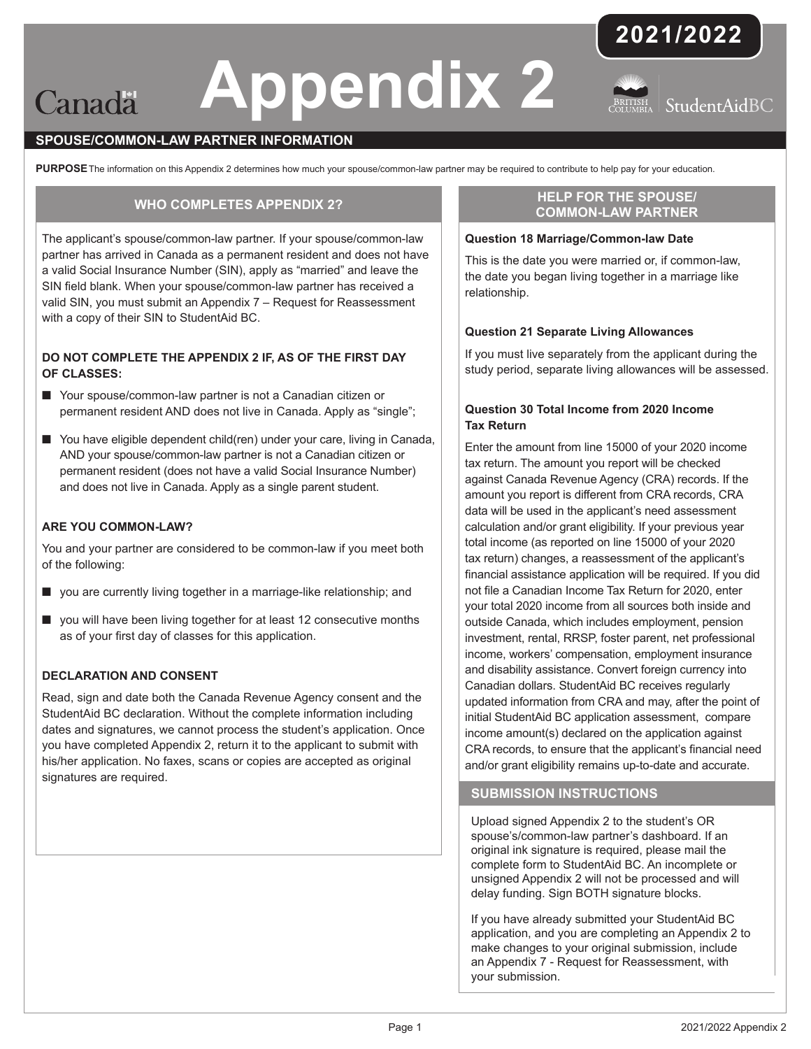# **Appendix 2** Canadä





# **SPOUSE/COMMON-LAW PARTNER INFORMATION**

PURPOSE The information on this Appendix 2 determines how much your spouse/common-law partner may be required to contribute to help pay for your education.

# **WHO COMPLETES APPENDIX 2?**

The applicant's spouse/common-law partner. If your spouse/common-law partner has arrived in Canada as a permanent resident and does not have a valid Social Insurance Number (SIN), apply as "married" and leave the SIN field blank. When your spouse/common-law partner has received a valid SIN, you must submit an Appendix 7 – Request for Reassessment with a copy of their SIN to StudentAid BC.

# **DO NOT COMPLETE THE APPENDIX 2 IF, AS OF THE FIRST DAY OF CLASSES:**

- Your spouse/common-law partner is not a Canadian citizen or permanent resident AND does not live in Canada. Apply as "single";
- You have eligible dependent child(ren) under your care, living in Canada, AND your spouse/common-law partner is not a Canadian citizen or permanent resident (does not have a valid Social Insurance Number) and does not live in Canada. Apply as a single parent student.

### **ARE YOU COMMON-LAW?**

You and your partner are considered to be common-law if you meet both of the following:

- you are currently living together in a marriage-like relationship; and
- you will have been living together for at least 12 consecutive months as of your first day of classes for this application.

# **DECLARATION AND CONSENT**

Read, sign and date both the Canada Revenue Agency consent and the StudentAid BC declaration. Without the complete information including dates and signatures, we cannot process the student's application. Once you have completed Appendix 2, return it to the applicant to submit with his/her application. No faxes, scans or copies are accepted as original signatures are required.

# **HELP FOR THE SPOUSE/ COMMON-LAW PARTNER**

# **Question 18 Marriage/Common-law Date**

This is the date you were married or, if common-law, the date you began living together in a marriage like relationship.

#### **Question 21 Separate Living Allowances**

If you must live separately from the applicant during the study period, separate living allowances will be assessed.

# **Question 30 Total Income from 2020 Income Tax Return**

Enter the amount from line 15000 of your 2020 income tax return. The amount you report will be checked against Canada Revenue Agency (CRA) records. If the amount you report is different from CRA records, CRA data will be used in the applicant's need assessment calculation and/or grant eligibility. If your previous year total income (as reported on line 15000 of your 2020 tax return) changes, a reassessment of the applicant's financial assistance application will be required. If you did not file a Canadian Income Tax Return for 2020, enter your total 2020 income from all sources both inside and outside Canada, which includes employment, pension investment, rental, RRSP, foster parent, net professional income, workers' compensation, employment insurance and disability assistance. Convert foreign currency into Canadian dollars. StudentAid BC receives regularly updated information from CRA and may, after the point of initial StudentAid BC application assessment, compare income amount(s) declared on the application against CRA records, to ensure that the applicant's financial need and/or grant eligibility remains up-to-date and accurate.

#### **SUBMISSION INSTRUCTIONS**

Upload signed Appendix 2 to the student's OR spouse's/common-law partner's dashboard. If an original ink signature is required, please mail the complete form to StudentAid BC. An incomplete or unsigned Appendix 2 will not be processed and will delay funding. Sign BOTH signature blocks.

If you have already submitted your StudentAid BC application, and you are completing an Appendix 2 to make changes to your original submission, include an Appendix 7 - Request for Reassessment, with your submission.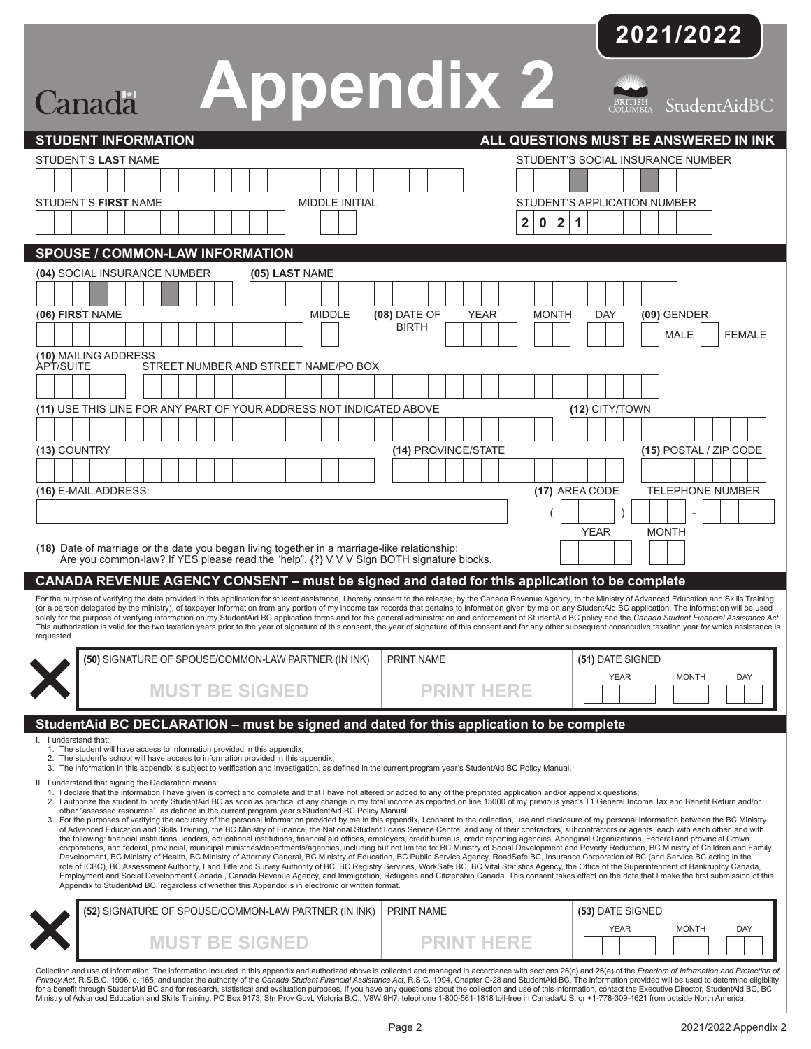|                                                                                                                                                                                                                 | 2021/2022                                                                                                                                                                                                                                                                                                                                                                                                                                                                                                                                                                                                                                                                                                                                                                                                                                                                                     |
|-----------------------------------------------------------------------------------------------------------------------------------------------------------------------------------------------------------------|-----------------------------------------------------------------------------------------------------------------------------------------------------------------------------------------------------------------------------------------------------------------------------------------------------------------------------------------------------------------------------------------------------------------------------------------------------------------------------------------------------------------------------------------------------------------------------------------------------------------------------------------------------------------------------------------------------------------------------------------------------------------------------------------------------------------------------------------------------------------------------------------------|
|                                                                                                                                                                                                                 |                                                                                                                                                                                                                                                                                                                                                                                                                                                                                                                                                                                                                                                                                                                                                                                                                                                                                               |
| <b>Appendix 2</b><br>Canada                                                                                                                                                                                     | BRITISH<br>COLUMBIA<br>StudentAidBC                                                                                                                                                                                                                                                                                                                                                                                                                                                                                                                                                                                                                                                                                                                                                                                                                                                           |
| <b>STUDENT INFORMATION</b>                                                                                                                                                                                      | ALL QUESTIONS MUST BE ANSWERED IN INK                                                                                                                                                                                                                                                                                                                                                                                                                                                                                                                                                                                                                                                                                                                                                                                                                                                         |
| STUDENT'S LAST NAME                                                                                                                                                                                             | STUDENT'S SOCIAL INSURANCE NUMBER                                                                                                                                                                                                                                                                                                                                                                                                                                                                                                                                                                                                                                                                                                                                                                                                                                                             |
|                                                                                                                                                                                                                 |                                                                                                                                                                                                                                                                                                                                                                                                                                                                                                                                                                                                                                                                                                                                                                                                                                                                                               |
| MIDDLE INITIAL<br><b>STUDENT'S FIRST NAME</b>                                                                                                                                                                   | <b>STUDENT'S APPLICATION NUMBER</b>                                                                                                                                                                                                                                                                                                                                                                                                                                                                                                                                                                                                                                                                                                                                                                                                                                                           |
|                                                                                                                                                                                                                 | 1<br>$\mathbf 0$<br>$\boldsymbol{2}$<br>2                                                                                                                                                                                                                                                                                                                                                                                                                                                                                                                                                                                                                                                                                                                                                                                                                                                     |
| <b>SPOUSE / COMMON-LAW INFORMATION</b>                                                                                                                                                                          |                                                                                                                                                                                                                                                                                                                                                                                                                                                                                                                                                                                                                                                                                                                                                                                                                                                                                               |
| (04) SOCIAL INSURANCE NUMBER<br>(05) LAST NAME                                                                                                                                                                  |                                                                                                                                                                                                                                                                                                                                                                                                                                                                                                                                                                                                                                                                                                                                                                                                                                                                                               |
|                                                                                                                                                                                                                 |                                                                                                                                                                                                                                                                                                                                                                                                                                                                                                                                                                                                                                                                                                                                                                                                                                                                                               |
| (06) FIRST NAME<br><b>MIDDLE</b>                                                                                                                                                                                | (08) DATE OF<br><b>YEAR</b><br><b>MONTH</b><br>$(09)$ GENDER<br>DAY<br><b>BIRTH</b><br><b>MALE</b><br><b>FEMALE</b>                                                                                                                                                                                                                                                                                                                                                                                                                                                                                                                                                                                                                                                                                                                                                                           |
| (10) MAILING ADDRESS<br><b>APT/SUITE</b><br>STREET NUMBER AND STREET NAME/PO BOX                                                                                                                                |                                                                                                                                                                                                                                                                                                                                                                                                                                                                                                                                                                                                                                                                                                                                                                                                                                                                                               |
|                                                                                                                                                                                                                 |                                                                                                                                                                                                                                                                                                                                                                                                                                                                                                                                                                                                                                                                                                                                                                                                                                                                                               |
| (11) USE THIS LINE FOR ANY PART OF YOUR ADDRESS NOT INDICATED ABOVE                                                                                                                                             | (12) CITY/TOWN                                                                                                                                                                                                                                                                                                                                                                                                                                                                                                                                                                                                                                                                                                                                                                                                                                                                                |
|                                                                                                                                                                                                                 |                                                                                                                                                                                                                                                                                                                                                                                                                                                                                                                                                                                                                                                                                                                                                                                                                                                                                               |
| (13) COUNTRY                                                                                                                                                                                                    | (14) PROVINCE/STATE<br>(15) POSTAL / ZIP CODE                                                                                                                                                                                                                                                                                                                                                                                                                                                                                                                                                                                                                                                                                                                                                                                                                                                 |
|                                                                                                                                                                                                                 |                                                                                                                                                                                                                                                                                                                                                                                                                                                                                                                                                                                                                                                                                                                                                                                                                                                                                               |
| (16) E-MAIL ADDRESS:                                                                                                                                                                                            | (17) AREA CODE<br><b>TELEPHONE NUMBER</b>                                                                                                                                                                                                                                                                                                                                                                                                                                                                                                                                                                                                                                                                                                                                                                                                                                                     |
|                                                                                                                                                                                                                 |                                                                                                                                                                                                                                                                                                                                                                                                                                                                                                                                                                                                                                                                                                                                                                                                                                                                                               |
|                                                                                                                                                                                                                 | <b>YEAR</b><br><b>MONTH</b>                                                                                                                                                                                                                                                                                                                                                                                                                                                                                                                                                                                                                                                                                                                                                                                                                                                                   |
| (18) Date of marriage or the date you began living together in a marriage-like relationship:<br>Are you common-law? If YES please read the "help". {?} V V V Sign BOTH signature blocks.                        |                                                                                                                                                                                                                                                                                                                                                                                                                                                                                                                                                                                                                                                                                                                                                                                                                                                                                               |
| CANADA REVENUE AGENCY CONSENT – must be signed and dated for this application to be complete                                                                                                                    |                                                                                                                                                                                                                                                                                                                                                                                                                                                                                                                                                                                                                                                                                                                                                                                                                                                                                               |
| requested.                                                                                                                                                                                                      | For the purpose of verifying the data provided in this application for student assistance, I hereby consent to the release, by the Canada Revenue Agency, to the Ministry of Advanced Education and Skills Training<br>(or a person delegated by the ministry), of taxpayer information from any portion of my income tax records that pertains to information given by me on any StudentAid BC application. The information will be used<br>solely for the purpose of verifying information on my StudentAid BC application forms and for the general administration and enforcement of StudentAid BC policy and the Canada Student Financial Assistance Act.<br>This authorization is valid for the two taxation years prior to the year of signature of this consent, the year of signature of this consent and for any other subsequent consecutive taxation year for which assistance is |
| (50) SIGNATURE OF SPOUSE/COMMON-LAW PARTNER (IN INK)                                                                                                                                                            | <b>PRINT NAME</b><br>(51) DATE SIGNED                                                                                                                                                                                                                                                                                                                                                                                                                                                                                                                                                                                                                                                                                                                                                                                                                                                         |
|                                                                                                                                                                                                                 | <b>YEAR</b><br><b>MONTH</b><br><b>DAY</b>                                                                                                                                                                                                                                                                                                                                                                                                                                                                                                                                                                                                                                                                                                                                                                                                                                                     |
| <b>MUST BE SIGNED</b>                                                                                                                                                                                           | <b>PRINT HERE</b>                                                                                                                                                                                                                                                                                                                                                                                                                                                                                                                                                                                                                                                                                                                                                                                                                                                                             |
| StudentAid BC DECLARATION - must be signed and dated for this application to be complete                                                                                                                        |                                                                                                                                                                                                                                                                                                                                                                                                                                                                                                                                                                                                                                                                                                                                                                                                                                                                                               |
| I. I understand that:<br>1. The student will have access to information provided in this appendix;<br>2. The student's school will have access to information provided in this appendix;                        |                                                                                                                                                                                                                                                                                                                                                                                                                                                                                                                                                                                                                                                                                                                                                                                                                                                                                               |
| 3. The information in this appendix is subject to verification and investigation, as defined in the current program year's StudentAid BC Policy Manual.<br>II. I understand that signing the Declaration means: |                                                                                                                                                                                                                                                                                                                                                                                                                                                                                                                                                                                                                                                                                                                                                                                                                                                                                               |
| 1. I declare that the information I have given is correct and complete and that I have not altered or added to any of the preprinted application and/or appendix questions;                                     | 2. I authorize the student to notify StudentAid BC as soon as practical of any change in my total income as reported on line 15000 of my previous year's T1 General Income Tax and Benefit Return and/or                                                                                                                                                                                                                                                                                                                                                                                                                                                                                                                                                                                                                                                                                      |
| other "assessed resources", as defined in the current program year's StudentAid BC Policy Manual;                                                                                                               | 3. For the purposes of verifying the accuracy of the personal information provided by me in this appendix, I consent to the collection, use and disclosure of my personal information between the BC Ministry<br>of Advanced Education and Skills Training, the BC Ministry of Finance, the National Student Loans Service Centre, and any of their contractors, subcontractors or agents, each with each other, and with                                                                                                                                                                                                                                                                                                                                                                                                                                                                     |
|                                                                                                                                                                                                                 | the following: financial institutions, lenders, educational institutions, financial aid offices, employers, credit bureaus, credit reporting agencies, Aboriginal Organizations, Federal and provincial Crown<br>corporations, and federal, provincial, municipal ministries/departments/agencies, including but not limited to: BC Ministry of Social Development and Poverty Reduction, BC Ministry of Children and Family                                                                                                                                                                                                                                                                                                                                                                                                                                                                  |
|                                                                                                                                                                                                                 | Development, BC Ministry of Health, BC Ministry of Attorney General, BC Ministry of Education, BC Public Service Agency, RoadSafe BC, Insurance Corporation of BC (and Service BC acting in the<br>role of ICBC), BC Assessment Authority, Land Title and Survey Authority of BC, BC Registry Services, WorkSafe BC, BC Vital Statistics Agency, the Office of the Superintendent of Bankruptcy Canada,<br>Employment and Social Development Canada, Canada Revenue Agency, and Immigration, Refugees and Citizenship Canada. This consent takes effect on the date that I make the first submission of this                                                                                                                                                                                                                                                                                  |
| Appendix to StudentAid BC, regardless of whether this Appendix is in electronic or written format.                                                                                                              |                                                                                                                                                                                                                                                                                                                                                                                                                                                                                                                                                                                                                                                                                                                                                                                                                                                                                               |
| (52) SIGNATURE OF SPOUSE/COMMON-LAW PARTNER (IN INK)                                                                                                                                                            | <b>PRINT NAME</b><br>(53) DATE SIGNED                                                                                                                                                                                                                                                                                                                                                                                                                                                                                                                                                                                                                                                                                                                                                                                                                                                         |
| <b>MUST BE SIGNED</b>                                                                                                                                                                                           | <b>YEAR</b><br><b>MONTH</b><br><b>DAY</b><br><b>PRINT HERE</b>                                                                                                                                                                                                                                                                                                                                                                                                                                                                                                                                                                                                                                                                                                                                                                                                                                |
|                                                                                                                                                                                                                 | Collection and use of information. The information included in this appendix and authorized above is collected and managed in accordance with sections 26(c) and 26(e) of the Freedom of Information and Protection of                                                                                                                                                                                                                                                                                                                                                                                                                                                                                                                                                                                                                                                                        |
|                                                                                                                                                                                                                 | Privacy Act, R.S.B.C. 1996, c. 165, and under the authority of the Canada Student Financial Assistance Act, R.S.C. 1994, Chapter C-28 and StudentAid BC. The information provided will be used to determine eligibility<br>for a benefit through StudentAid BC and for research, statistical and evaluation purposes. If you have any questions about the collection and use of this information, contact the Executive Director, StudentAid BC, BC<br>Ministry of Advanced Education and Skills Training, PO Box 9173, Stn Prov Govt, Victoria B.C., V8W 9H7, telephone 1-800-561-1818 toll-free in Canada/U.S. or +1-778-309-4621 from outside North America.                                                                                                                                                                                                                               |

 $\blacksquare$